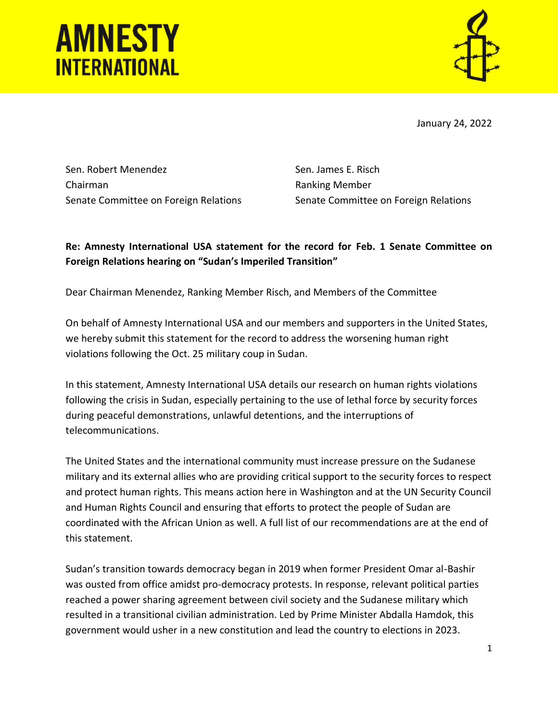# **AMNESTY INTERNATIONAL**



January 24, 2022

Sen. Robert Menendez Chairman Senate Committee on Foreign Relations

Sen. James E. Risch Ranking Member Senate Committee on Foreign Relations

## **Re: Amnesty International USA statement for the record for Feb. 1 Senate Committee on Foreign Relations hearing on "Sudan's Imperiled Transition"**

Dear Chairman Menendez, Ranking Member Risch, and Members of the Committee

On behalf of Amnesty International USA and our members and supporters in the United States, we hereby submit this statement for the record to address the worsening human right violations following the Oct. 25 military coup in Sudan.

In this statement, Amnesty International USA details our research on human rights violations following the crisis in Sudan, especially pertaining to the use of lethal force by security forces during peaceful demonstrations, unlawful detentions, and the interruptions of telecommunications.

The United States and the international community must increase pressure on the Sudanese military and its external allies who are providing critical support to the security forces to respect and protect human rights. This means action here in Washington and at the UN Security Council and Human Rights Council and ensuring that efforts to protect the people of Sudan are coordinated with the African Union as well. A full list of our recommendations are at the end of this statement.

Sudan's transition towards democracy began in 2019 when former President Omar al-Bashir was ousted from office amidst pro-democracy protests. In response, relevant political parties reached a power sharing agreement between civil society and the Sudanese military which resulted in a transitional civilian administration. Led by Prime Minister Abdalla Hamdok, this government would usher in a new constitution and lead the country to elections in 2023.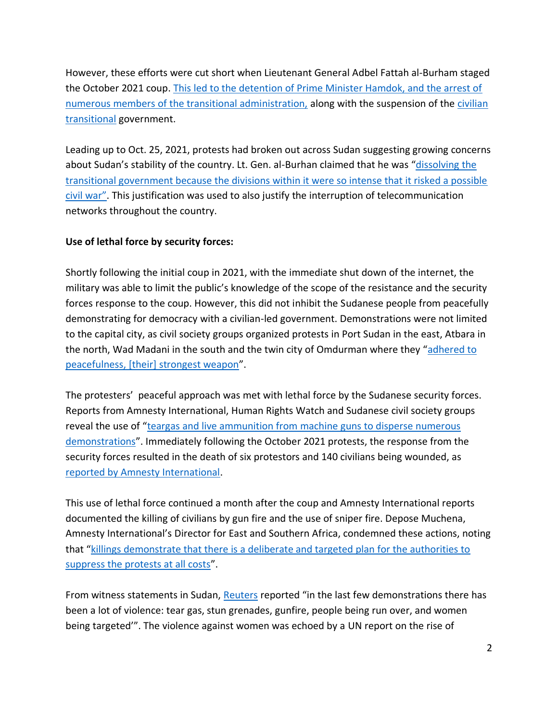However, these efforts were cut short when Lieutenant General Adbel Fattah al-Burham staged the October 2021 coup. This led to the detention of Prime Minister Hamdok, and the arrest of numerous members of the transitional administration, along with the suspension of the [civilian](https://www.ohchr.org/EN/HRBodies/HRC/Pages/NewsDetail.aspx?NewsID=27777&LangID=E)  [transitional](https://www.ohchr.org/EN/HRBodies/HRC/Pages/NewsDetail.aspx?NewsID=27777&LangID=E) government.

Leading up to Oct. 25, 2021, protests had broken out across Sudan suggesting growing concerns about Sudan's stability of the country. Lt. Gen. al-Burhan claimed that he was "dissolving the [transitional government because the divisions within it were so intense that it risked a possible](https://www.vox.com/2021/10/29/22751437/sudan-coup-protests-al-burhan-hamdok)  [civil war"](https://www.vox.com/2021/10/29/22751437/sudan-coup-protests-al-burhan-hamdok). This justification was used to also justify the interruption of telecommunication networks throughout the country.

#### **Use of lethal force by security forces:**

Shortly following the initial coup in 2021, with the immediate shut down of the internet, the military was able to limit the public's knowledge of the scope of the resistance and the security forces response to the coup. However, this did not inhibit the Sudanese people from peacefully demonstrating for democracy with a civilian-led government. Demonstrations were not limited to the capital city, as civil society groups organized protests in Port Sudan in the east, Atbara in the north, Wad Madani in the south and the twin city of Omdurman where they "[adhered to](https://www.aljazeera.com/news/2022/1/6/sudan-security-forces-fire-tear-gas-at-demonstrators-in-khartoum)  [peacefulness, \[their\] strongest weapon](https://www.aljazeera.com/news/2022/1/6/sudan-security-forces-fire-tear-gas-at-demonstrators-in-khartoum)".

The protesters' peaceful approach was met with lethal force by the Sudanese security forces. Reports from Amnesty International, Human Rights Watch and Sudanese civil society groups reveal the use of "teargas and [live ammunition from machine guns to disperse numerous](https://www.amnesty.org/en/documents/afr54/4931/2021/en/)  [demonstrations](https://www.amnesty.org/en/documents/afr54/4931/2021/en/)". Immediately following the October 2021 protests, the response from the security forces resulted in the death of six protestors and 140 civilians being wounded, as [reported by Amnesty International.](https://www.amnesty.org/en/latest/news/2021/10/sudan-halt-unnecessary-force-against-protesters-and-investigate-deadly-shootings/)

This use of lethal force continued a month after the coup and Amnesty International reports documented the killing of civilians by gun fire and the use of sniper fire. Depose Muchena, Amnesty International's Director for East and Southern Africa, condemned these actions, noting that "[killings demonstrate that there is a deliberate and targeted plan for the authorities to](https://www.amnesty.org/en/latest/news/2021/11/sudan-investigate-the-killings-of-people-after-military-crackdown-against-protesters/)  [suppress the protests at all costs](https://www.amnesty.org/en/latest/news/2021/11/sudan-investigate-the-killings-of-people-after-military-crackdown-against-protesters/)".

From witness statements in Sudan, [Reuters](https://www.reuters.com/world/asia-pacific/sudanese-security-forces-fire-teargas-anti-coup-protesters-witnesses-2022-01-09/) reported "in the last few demonstrations there has been a lot of violence: tear gas, stun grenades, gunfire, people being run over, and women being targeted'". The violence against women was echoed by a UN report on the rise of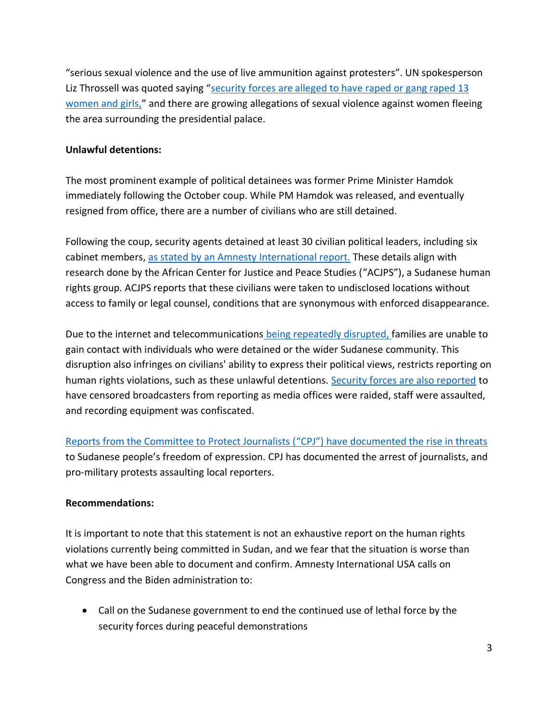"serious sexual violence and the use of live ammunition against protesters". UN spokesperson Liz Throssell was quoted saying "security forces are alleged to have raped or gang raped 13 [women and girls,](https://news.un.org/en/story/2021/12/1108522)" and there are growing allegations of sexual violence against women fleeing the area surrounding the presidential palace.

#### **Unlawful detentions:**

The most prominent example of political detainees was former Prime Minister Hamdok immediately following the October coup. While PM Hamdok was released, and eventually resigned from office, there are a number of civilians who are still detained.

Following the coup, security agents detained at least 30 civilian political leaders, including six cabinet members, [as stated by an Amnesty International report.](https://www.amnesty.org/en/latest/news/2021/11/sudan-immediately-free-detainees-halt-arrests/) These details align with research done by the African Center for Justice and Peace Studies ("ACJPS"), a Sudanese human rights group. ACJPS reports that these civilians were taken to undisclosed locations without access to family or legal counsel, conditions that are synonymous with enforced disappearance.

Due to the internet and telecommunications [being repeatedly disrupted, f](https://www.amnesty.org/en/latest/news/2021/11/sudan-investigate-the-killings-of-people-after-military-crackdown-against-protesters/)amilies are unable to gain contact with individuals who were detained or the wider Sudanese community. This disruption also infringes on civilians' ability to express their political views, restricts reporting on human rights violations, such as these unlawful detentions. [Security forces are also reported](https://www.cnn.com/2021/12/30/africa/sudan-anti-military-protests-intl/index.html) to have censored broadcasters from reporting as media offices were raided, staff were assaulted, and recording equipment was confiscated.

[Reports from the Committee to Protect Journalists \(](https://cpj.org/2021/10/sudanese-military-forces-arrest-state-television-manager-pro-military-protesters-assault-journalists-amid-unrest/)"CPJ") have documented the rise in threats to Sudanese people's freedom of expression. CPJ has documented the arrest of journalists, and pro-military protests assaulting local reporters.

### **Recommendations:**

It is important to note that this statement is not an exhaustive report on the human rights violations currently being committed in Sudan, and we fear that the situation is worse than what we have been able to document and confirm. Amnesty International USA calls on Congress and the Biden administration to:

• Call on the Sudanese government to end the continued use of lethal force by the security forces during peaceful demonstrations